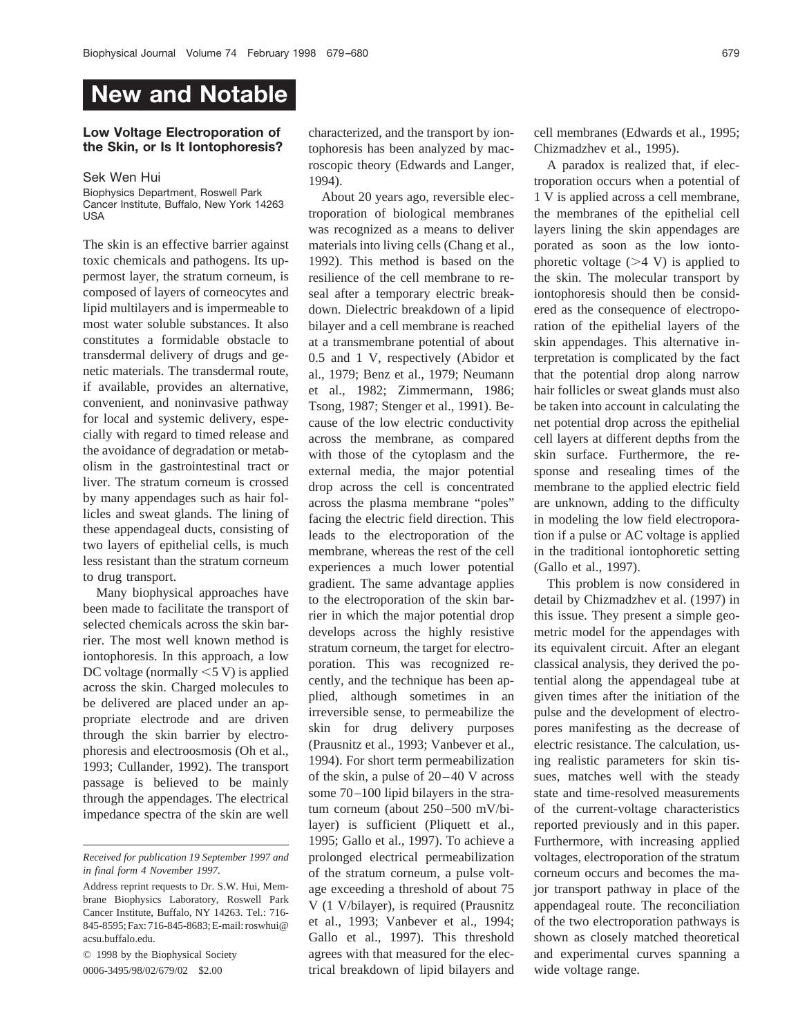## **New and Notable**

## **Low Voltage Electroporation of the Skin, or Is It Iontophoresis?**

## Sek Wen Hui

Biophysics Department, Roswell Park Cancer Institute, Buffalo, New York 14263 USA

The skin is an effective barrier against toxic chemicals and pathogens. Its uppermost layer, the stratum corneum, is composed of layers of corneocytes and lipid multilayers and is impermeable to most water soluble substances. It also constitutes a formidable obstacle to transdermal delivery of drugs and genetic materials. The transdermal route, if available, provides an alternative, convenient, and noninvasive pathway for local and systemic delivery, especially with regard to timed release and the avoidance of degradation or metabolism in the gastrointestinal tract or liver. The stratum corneum is crossed by many appendages such as hair follicles and sweat glands. The lining of these appendageal ducts, consisting of two layers of epithelial cells, is much less resistant than the stratum corneum to drug transport.

Many biophysical approaches have been made to facilitate the transport of selected chemicals across the skin barrier. The most well known method is iontophoresis. In this approach, a low DC voltage (normally  $\leq$  5 V) is applied across the skin. Charged molecules to be delivered are placed under an appropriate electrode and are driven through the skin barrier by electrophoresis and electroosmosis (Oh et al., 1993; Cullander, 1992). The transport passage is believed to be mainly through the appendages. The electrical impedance spectra of the skin are well

*Received for publication 19 September 1997 and in final form 4 November 1997.*

© 1998 by the Biophysical Society 0006-3495/98/02/679/02 \$2.00

characterized, and the transport by iontophoresis has been analyzed by macroscopic theory (Edwards and Langer, 1994).

About 20 years ago, reversible electroporation of biological membranes was recognized as a means to deliver materials into living cells (Chang et al., 1992). This method is based on the resilience of the cell membrane to reseal after a temporary electric breakdown. Dielectric breakdown of a lipid bilayer and a cell membrane is reached at a transmembrane potential of about 0.5 and 1 V, respectively (Abidor et al., 1979; Benz et al., 1979; Neumann et al., 1982; Zimmermann, 1986; Tsong, 1987; Stenger et al., 1991). Because of the low electric conductivity across the membrane, as compared with those of the cytoplasm and the external media, the major potential drop across the cell is concentrated across the plasma membrane "poles" facing the electric field direction. This leads to the electroporation of the membrane, whereas the rest of the cell experiences a much lower potential gradient. The same advantage applies to the electroporation of the skin barrier in which the major potential drop develops across the highly resistive stratum corneum, the target for electroporation. This was recognized recently, and the technique has been applied, although sometimes in an irreversible sense, to permeabilize the skin for drug delivery purposes (Prausnitz et al., 1993; Vanbever et al., 1994). For short term permeabilization of the skin, a pulse of 20–40 V across some 70–100 lipid bilayers in the stratum corneum (about 250–500 mV/bilayer) is sufficient (Pliquett et al., 1995; Gallo et al., 1997). To achieve a prolonged electrical permeabilization of the stratum corneum, a pulse voltage exceeding a threshold of about 75 V (1 V/bilayer), is required (Prausnitz et al., 1993; Vanbever et al., 1994; Gallo et al., 1997). This threshold agrees with that measured for the electrical breakdown of lipid bilayers and

cell membranes (Edwards et al., 1995; Chizmadzhev et al., 1995).

A paradox is realized that, if electroporation occurs when a potential of 1 V is applied across a cell membrane, the membranes of the epithelial cell layers lining the skin appendages are porated as soon as the low iontophoretic voltage  $(>4$  V) is applied to the skin. The molecular transport by iontophoresis should then be considered as the consequence of electroporation of the epithelial layers of the skin appendages. This alternative interpretation is complicated by the fact that the potential drop along narrow hair follicles or sweat glands must also be taken into account in calculating the net potential drop across the epithelial cell layers at different depths from the skin surface. Furthermore, the response and resealing times of the membrane to the applied electric field are unknown, adding to the difficulty in modeling the low field electroporation if a pulse or AC voltage is applied in the traditional iontophoretic setting (Gallo et al., 1997).

This problem is now considered in detail by Chizmadzhev et al. (1997) in this issue. They present a simple geometric model for the appendages with its equivalent circuit. After an elegant classical analysis, they derived the potential along the appendageal tube at given times after the initiation of the pulse and the development of electropores manifesting as the decrease of electric resistance. The calculation, using realistic parameters for skin tissues, matches well with the steady state and time-resolved measurements of the current-voltage characteristics reported previously and in this paper. Furthermore, with increasing applied voltages, electroporation of the stratum corneum occurs and becomes the major transport pathway in place of the appendageal route. The reconciliation of the two electroporation pathways is shown as closely matched theoretical and experimental curves spanning a wide voltage range.

Address reprint requests to Dr. S.W. Hui, Membrane Biophysics Laboratory, Roswell Park Cancer Institute, Buffalo, NY 14263. Tel.: 716- 845-8595; Fax: 716-845-8683; E-mail: roswhui@ acsu.buffalo.edu.